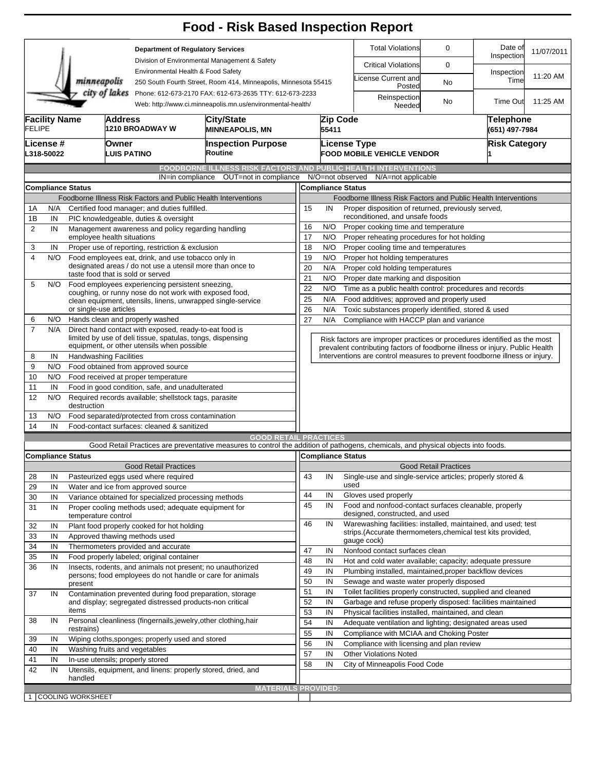|                                                                  |                                                                |                                                                                        |                                                                                                                         |                                                                                                                                     | <b>Food - Risk Based Inspection Report</b>                                                                                        |          |                                                                                                                          |                                                                                                                                  |                                                                                                                                                            |                              |                                                            |            |  |  |  |
|------------------------------------------------------------------|----------------------------------------------------------------|----------------------------------------------------------------------------------------|-------------------------------------------------------------------------------------------------------------------------|-------------------------------------------------------------------------------------------------------------------------------------|-----------------------------------------------------------------------------------------------------------------------------------|----------|--------------------------------------------------------------------------------------------------------------------------|----------------------------------------------------------------------------------------------------------------------------------|------------------------------------------------------------------------------------------------------------------------------------------------------------|------------------------------|------------------------------------------------------------|------------|--|--|--|
|                                                                  |                                                                |                                                                                        |                                                                                                                         | <b>Department of Regulatory Services</b><br>Division of Environmental Management & Safety                                           |                                                                                                                                   |          |                                                                                                                          |                                                                                                                                  | <b>Total Violations</b>                                                                                                                                    | $\mathbf 0$                  | Date of<br>Inspection                                      | 11/07/2011 |  |  |  |
|                                                                  |                                                                |                                                                                        |                                                                                                                         |                                                                                                                                     |                                                                                                                                   |          |                                                                                                                          |                                                                                                                                  | <b>Critical Violations</b>                                                                                                                                 | 0                            |                                                            |            |  |  |  |
|                                                                  |                                                                | minneapolis                                                                            |                                                                                                                         |                                                                                                                                     | Environmental Health & Food Safety<br>250 South Fourth Street, Room 414, Minneapolis, Minnesota 55415                             |          |                                                                                                                          |                                                                                                                                  | icense Current and<br>Posted                                                                                                                               | No                           | Inspection<br>Time                                         | 11:20 AM   |  |  |  |
|                                                                  |                                                                |                                                                                        |                                                                                                                         | city of lakes Phone: 612-673-2170 FAX: 612-673-2635 TTY: 612-673-2233<br>Web: http://www.ci.minneapolis.mn.us/environmental-health/ |                                                                                                                                   |          |                                                                                                                          |                                                                                                                                  | Reinspection<br>Needed                                                                                                                                     | No                           | <b>Time Out</b>                                            | 11:25 AM   |  |  |  |
| <b>Facility Name</b><br><b>FELIPE</b><br>License #<br>L318-50022 |                                                                |                                                                                        | <b>Address</b>                                                                                                          | 1210 BROADWAY W                                                                                                                     | City/State<br><b>MINNEAPOLIS, MN</b><br><b>Inspection Purpose</b><br>Routine                                                      |          |                                                                                                                          | Zip Code<br>55411                                                                                                                |                                                                                                                                                            |                              | <b>Telephone</b><br>(651) 497-7984<br><b>Risk Category</b> |            |  |  |  |
|                                                                  |                                                                |                                                                                        | Owner<br><b>LUIS PATINO</b>                                                                                             |                                                                                                                                     |                                                                                                                                   |          |                                                                                                                          |                                                                                                                                  | <b>License Type</b><br><b>FOOD MOBILE VEHICLE VENDOR</b>                                                                                                   |                              |                                                            |            |  |  |  |
|                                                                  |                                                                |                                                                                        |                                                                                                                         |                                                                                                                                     | <b>FOODBORNE ILLNESS RISK FACTORS AND PUBLIC HEALTH INTERVENTIONS</b>                                                             |          |                                                                                                                          |                                                                                                                                  |                                                                                                                                                            |                              |                                                            |            |  |  |  |
|                                                                  |                                                                |                                                                                        |                                                                                                                         | IN=in compliance                                                                                                                    | OUT=not in compliance                                                                                                             |          |                                                                                                                          |                                                                                                                                  | N/O=not observed<br>N/A=not applicable                                                                                                                     |                              |                                                            |            |  |  |  |
| <b>Compliance Status</b>                                         |                                                                |                                                                                        |                                                                                                                         |                                                                                                                                     |                                                                                                                                   |          |                                                                                                                          | <b>Compliance Status</b>                                                                                                         |                                                                                                                                                            |                              |                                                            |            |  |  |  |
|                                                                  | Foodborne Illness Risk Factors and Public Health Interventions |                                                                                        |                                                                                                                         |                                                                                                                                     |                                                                                                                                   |          | Foodborne Illness Risk Factors and Public Health Interventions                                                           |                                                                                                                                  |                                                                                                                                                            |                              |                                                            |            |  |  |  |
| 1А<br>1B                                                         | N/A<br>IN                                                      | Certified food manager; and duties fulfilled.<br>PIC knowledgeable, duties & oversight |                                                                                                                         |                                                                                                                                     |                                                                                                                                   |          |                                                                                                                          | 15<br>IN<br>Proper disposition of returned, previously served,<br>reconditioned, and unsafe foods                                |                                                                                                                                                            |                              |                                                            |            |  |  |  |
| $\overline{2}$                                                   | IN                                                             | Management awareness and policy regarding handling                                     |                                                                                                                         |                                                                                                                                     |                                                                                                                                   |          |                                                                                                                          | 16<br>N/O<br>Proper cooking time and temperature                                                                                 |                                                                                                                                                            |                              |                                                            |            |  |  |  |
|                                                                  |                                                                | employee health situations                                                             |                                                                                                                         |                                                                                                                                     |                                                                                                                                   |          | 17<br>N/O                                                                                                                | Proper reheating procedures for hot holding                                                                                      |                                                                                                                                                            |                              |                                                            |            |  |  |  |
| 3                                                                | IN                                                             |                                                                                        | Proper use of reporting, restriction & exclusion                                                                        |                                                                                                                                     |                                                                                                                                   |          |                                                                                                                          |                                                                                                                                  | 18<br>Proper cooling time and temperatures<br>N/O                                                                                                          |                              |                                                            |            |  |  |  |
| 4                                                                | N/O                                                            |                                                                                        |                                                                                                                         | Food employees eat, drink, and use tobacco only in<br>designated areas / do not use a utensil more than once to                     |                                                                                                                                   |          |                                                                                                                          | 19<br>N/O<br>Proper hot holding temperatures                                                                                     |                                                                                                                                                            |                              |                                                            |            |  |  |  |
|                                                                  |                                                                |                                                                                        |                                                                                                                         | taste food that is sold or served                                                                                                   |                                                                                                                                   | 20       |                                                                                                                          | N/A                                                                                                                              | Proper cold holding temperatures                                                                                                                           |                              |                                                            |            |  |  |  |
| 5                                                                | N/O                                                            | Food employees experiencing persistent sneezing,                                       |                                                                                                                         |                                                                                                                                     |                                                                                                                                   |          | 21<br>N/O<br>Proper date marking and disposition<br>22<br>N/O<br>Time as a public health control: procedures and records |                                                                                                                                  |                                                                                                                                                            |                              |                                                            |            |  |  |  |
|                                                                  |                                                                |                                                                                        |                                                                                                                         | coughing, or runny nose do not work with exposed food,                                                                              | clean equipment, utensils, linens, unwrapped single-service                                                                       | 25       |                                                                                                                          | N/A                                                                                                                              | Food additives; approved and properly used                                                                                                                 |                              |                                                            |            |  |  |  |
|                                                                  |                                                                | or single-use articles                                                                 |                                                                                                                         |                                                                                                                                     |                                                                                                                                   | 26       |                                                                                                                          | N/A                                                                                                                              | Toxic substances properly identified, stored & used                                                                                                        |                              |                                                            |            |  |  |  |
| 6                                                                | N/O                                                            | Hands clean and properly washed                                                        |                                                                                                                         |                                                                                                                                     |                                                                                                                                   |          | 27<br>N/A<br>Compliance with HACCP plan and variance                                                                     |                                                                                                                                  |                                                                                                                                                            |                              |                                                            |            |  |  |  |
| $\overline{7}$                                                   | N/A                                                            |                                                                                        |                                                                                                                         | Direct hand contact with exposed, ready-to-eat food is                                                                              |                                                                                                                                   |          |                                                                                                                          |                                                                                                                                  |                                                                                                                                                            |                              |                                                            |            |  |  |  |
|                                                                  |                                                                |                                                                                        |                                                                                                                         | limited by use of deli tissue, spatulas, tongs, dispensing<br>equipment, or other utensils when possible                            |                                                                                                                                   |          |                                                                                                                          |                                                                                                                                  | Risk factors are improper practices or procedures identified as the most                                                                                   |                              |                                                            |            |  |  |  |
| 8                                                                | IN                                                             |                                                                                        |                                                                                                                         |                                                                                                                                     |                                                                                                                                   |          |                                                                                                                          |                                                                                                                                  | prevalent contributing factors of foodborne illness or injury. Public Health<br>Interventions are control measures to prevent foodborne illness or injury. |                              |                                                            |            |  |  |  |
| 9                                                                | N/O                                                            | <b>Handwashing Facilities</b><br>Food obtained from approved source                    |                                                                                                                         |                                                                                                                                     |                                                                                                                                   |          |                                                                                                                          |                                                                                                                                  |                                                                                                                                                            |                              |                                                            |            |  |  |  |
| 10                                                               | N/O                                                            | Food received at proper temperature                                                    |                                                                                                                         |                                                                                                                                     |                                                                                                                                   |          |                                                                                                                          |                                                                                                                                  |                                                                                                                                                            |                              |                                                            |            |  |  |  |
| 11                                                               | IN                                                             | Food in good condition, safe, and unadulterated                                        |                                                                                                                         |                                                                                                                                     |                                                                                                                                   |          |                                                                                                                          |                                                                                                                                  |                                                                                                                                                            |                              |                                                            |            |  |  |  |
| 12                                                               | N/O                                                            | Required records available; shellstock tags, parasite<br>destruction                   |                                                                                                                         |                                                                                                                                     |                                                                                                                                   |          |                                                                                                                          |                                                                                                                                  |                                                                                                                                                            |                              |                                                            |            |  |  |  |
| 13                                                               | N/O                                                            |                                                                                        |                                                                                                                         | Food separated/protected from cross contamination                                                                                   |                                                                                                                                   |          |                                                                                                                          |                                                                                                                                  |                                                                                                                                                            |                              |                                                            |            |  |  |  |
| 14                                                               | IN                                                             |                                                                                        |                                                                                                                         | Food-contact surfaces: cleaned & sanitized                                                                                          | <b>GOOD RETAIL PRACTICES</b>                                                                                                      |          |                                                                                                                          |                                                                                                                                  |                                                                                                                                                            |                              |                                                            |            |  |  |  |
|                                                                  |                                                                |                                                                                        |                                                                                                                         |                                                                                                                                     | Good Retail Practices are preventative measures to control the addition of pathogens, chemicals, and physical objects into foods. |          |                                                                                                                          |                                                                                                                                  |                                                                                                                                                            |                              |                                                            |            |  |  |  |
|                                                                  |                                                                | <b>Compliance Status</b>                                                               |                                                                                                                         |                                                                                                                                     |                                                                                                                                   |          |                                                                                                                          | Compliance Status                                                                                                                |                                                                                                                                                            |                              |                                                            |            |  |  |  |
|                                                                  |                                                                |                                                                                        |                                                                                                                         | <b>Good Retail Practices</b>                                                                                                        |                                                                                                                                   |          |                                                                                                                          |                                                                                                                                  |                                                                                                                                                            | <b>Good Retail Practices</b> |                                                            |            |  |  |  |
| 28                                                               | IN                                                             |                                                                                        |                                                                                                                         | Pasteurized eggs used where required                                                                                                |                                                                                                                                   | 43       |                                                                                                                          | IN                                                                                                                               | Single-use and single-service articles; properly stored &                                                                                                  |                              |                                                            |            |  |  |  |
| 29                                                               | IN                                                             |                                                                                        |                                                                                                                         | Water and ice from approved source                                                                                                  |                                                                                                                                   | 44       |                                                                                                                          | IN                                                                                                                               | used<br>Gloves used properly                                                                                                                               |                              |                                                            |            |  |  |  |
| 30                                                               | IN                                                             |                                                                                        |                                                                                                                         | Variance obtained for specialized processing methods                                                                                |                                                                                                                                   | 45       |                                                                                                                          | IN                                                                                                                               | Food and nonfood-contact surfaces cleanable, properly                                                                                                      |                              |                                                            |            |  |  |  |
| 31                                                               | IN                                                             | temperature control                                                                    |                                                                                                                         | Proper cooling methods used; adequate equipment for                                                                                 |                                                                                                                                   | 46       |                                                                                                                          | IN                                                                                                                               | designed, constructed, and used<br>Warewashing facilities: installed, maintained, and used; test                                                           |                              |                                                            |            |  |  |  |
| 32                                                               | IN                                                             |                                                                                        |                                                                                                                         | Plant food properly cooked for hot holding                                                                                          |                                                                                                                                   |          |                                                                                                                          |                                                                                                                                  | strips. (Accurate thermometers, chemical test kits provided,                                                                                               |                              |                                                            |            |  |  |  |
| 33<br>34                                                         | IN<br>IN                                                       |                                                                                        |                                                                                                                         | Approved thawing methods used<br>Thermometers provided and accurate                                                                 |                                                                                                                                   |          |                                                                                                                          |                                                                                                                                  | gauge cock)                                                                                                                                                |                              |                                                            |            |  |  |  |
| 35                                                               | IN                                                             |                                                                                        |                                                                                                                         | Food properly labeled; original container                                                                                           |                                                                                                                                   | 47       |                                                                                                                          | IN                                                                                                                               | Nonfood contact surfaces clean                                                                                                                             |                              |                                                            |            |  |  |  |
| 36                                                               | IN                                                             |                                                                                        |                                                                                                                         |                                                                                                                                     |                                                                                                                                   | 48<br>49 |                                                                                                                          | IN                                                                                                                               | Hot and cold water available; capacity; adequate pressure                                                                                                  |                              |                                                            |            |  |  |  |
|                                                                  |                                                                |                                                                                        | Insects, rodents, and animals not present; no unauthorized<br>persons; food employees do not handle or care for animals |                                                                                                                                     |                                                                                                                                   |          |                                                                                                                          | IN<br>Plumbing installed, maintained, proper backflow devices                                                                    |                                                                                                                                                            |                              |                                                            |            |  |  |  |
|                                                                  |                                                                |                                                                                        | present                                                                                                                 |                                                                                                                                     |                                                                                                                                   |          |                                                                                                                          | 50<br>IN<br>Sewage and waste water properly disposed<br>51<br>IN<br>Toilet facilities properly constructed, supplied and cleaned |                                                                                                                                                            |                              |                                                            |            |  |  |  |
| 37                                                               | IN                                                             |                                                                                        | Contamination prevented during food preparation, storage<br>and display; segregated distressed products-non critical    |                                                                                                                                     |                                                                                                                                   | 52       |                                                                                                                          | IN                                                                                                                               | Garbage and refuse properly disposed: facilities maintained                                                                                                |                              |                                                            |            |  |  |  |
|                                                                  |                                                                | items                                                                                  |                                                                                                                         |                                                                                                                                     |                                                                                                                                   | 53       |                                                                                                                          | IN                                                                                                                               | Physical facilities installed, maintained, and clean                                                                                                       |                              |                                                            |            |  |  |  |
| 38                                                               | IN                                                             |                                                                                        |                                                                                                                         |                                                                                                                                     | Personal cleanliness (fingernails, jewelry, other clothing, hair                                                                  | 54       |                                                                                                                          | IN                                                                                                                               | Adequate ventilation and lighting; designated areas used                                                                                                   |                              |                                                            |            |  |  |  |
|                                                                  |                                                                | restrains)                                                                             |                                                                                                                         |                                                                                                                                     |                                                                                                                                   | 55       |                                                                                                                          | IN                                                                                                                               | Compliance with MCIAA and Choking Poster                                                                                                                   |                              |                                                            |            |  |  |  |
| 39<br>40                                                         | IN<br>IN                                                       | Wiping cloths, sponges; properly used and stored<br>Washing fruits and vegetables      |                                                                                                                         |                                                                                                                                     | 56                                                                                                                                |          | IN                                                                                                                       | Compliance with licensing and plan review                                                                                        |                                                                                                                                                            |                              |                                                            |            |  |  |  |
| 41                                                               | IN                                                             |                                                                                        | In-use utensils; properly stored                                                                                        |                                                                                                                                     |                                                                                                                                   |          | 57                                                                                                                       | IN<br><b>Other Violations Noted</b>                                                                                              |                                                                                                                                                            |                              |                                                            |            |  |  |  |
| 42                                                               | IN                                                             |                                                                                        |                                                                                                                         |                                                                                                                                     | Utensils, equipment, and linens: properly stored, dried, and                                                                      | 58       |                                                                                                                          | IN                                                                                                                               | City of Minneapolis Food Code                                                                                                                              |                              |                                                            |            |  |  |  |
|                                                                  |                                                                | handled                                                                                |                                                                                                                         |                                                                                                                                     |                                                                                                                                   |          |                                                                                                                          |                                                                                                                                  |                                                                                                                                                            |                              |                                                            |            |  |  |  |
|                                                                  |                                                                |                                                                                        |                                                                                                                         |                                                                                                                                     | <b>MATERIALS PROVIDED:</b>                                                                                                        |          |                                                                                                                          |                                                                                                                                  |                                                                                                                                                            |                              |                                                            |            |  |  |  |
|                                                                  |                                                                | 1 COOLING WORKSHEET                                                                    |                                                                                                                         |                                                                                                                                     |                                                                                                                                   |          |                                                                                                                          |                                                                                                                                  |                                                                                                                                                            |                              |                                                            |            |  |  |  |